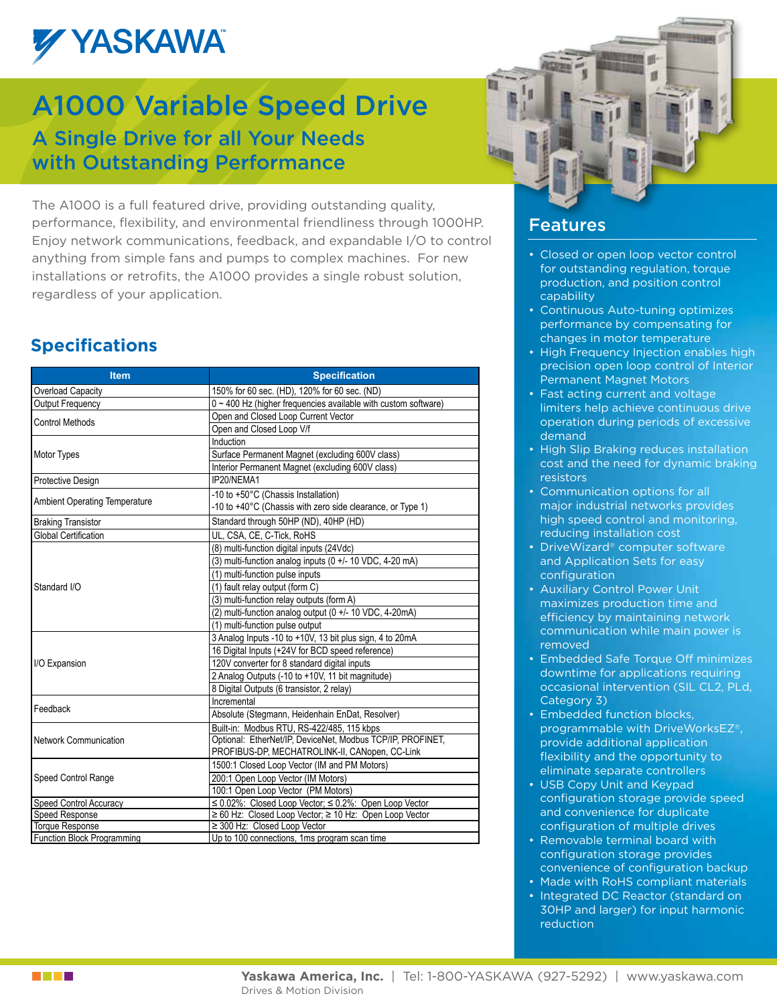

## A1000 Variable Speed Drive A Single Drive for all Your Needs with Outstanding Performance

The A1000 is a full featured drive, providing outstanding quality, performance, flexibility, and environmental friendliness through 1000HP. Enjoy network communications, feedback, and expandable I/O to control anything from simple fans and pumps to complex machines. For new installations or retrofits, the A1000 provides a single robust solution, regardless of your application.

### **Specifications**

| <b>Item</b>                          | <b>Specification</b>                                                |  |  |  |  |
|--------------------------------------|---------------------------------------------------------------------|--|--|--|--|
| Overload Capacity                    | 150% for 60 sec. (HD), 120% for 60 sec. (ND)                        |  |  |  |  |
| Output Frequency                     | $0 \sim 400$ Hz (higher frequencies available with custom software) |  |  |  |  |
| <b>Control Methods</b>               | Open and Closed Loop Current Vector                                 |  |  |  |  |
|                                      | Open and Closed Loop V/f                                            |  |  |  |  |
|                                      | Induction                                                           |  |  |  |  |
| Motor Types                          | Surface Permanent Magnet (excluding 600V class)                     |  |  |  |  |
|                                      | Interior Permanent Magnet (excluding 600V class)                    |  |  |  |  |
| Protective Design                    | IP20/NEMA1                                                          |  |  |  |  |
|                                      | -10 to +50°C (Chassis Installation)                                 |  |  |  |  |
| <b>Ambient Operating Temperature</b> | -10 to +40°C (Chassis with zero side clearance, or Type 1)          |  |  |  |  |
| <b>Braking Transistor</b>            | Standard through 50HP (ND), 40HP (HD)                               |  |  |  |  |
| Global Certification                 | UL, CSA, CE, C-Tick, RoHS                                           |  |  |  |  |
|                                      | (8) multi-function digital inputs (24Vdc)                           |  |  |  |  |
|                                      | (3) multi-function analog inputs (0 $+/-$ 10 VDC, 4-20 mA)          |  |  |  |  |
|                                      | (1) multi-function pulse inputs                                     |  |  |  |  |
| Standard I/O                         | (1) fault relay output (form C)                                     |  |  |  |  |
|                                      | (3) multi-function relay outputs (form A)                           |  |  |  |  |
|                                      | (2) multi-function analog output (0 +/- 10 VDC, 4-20mA)             |  |  |  |  |
|                                      | (1) multi-function pulse output                                     |  |  |  |  |
|                                      | 3 Analog Inputs -10 to +10V, 13 bit plus sign, 4 to 20mA            |  |  |  |  |
|                                      | 16 Digital Inputs (+24V for BCD speed reference)                    |  |  |  |  |
| I/O Expansion                        | 120V converter for 8 standard digital inputs                        |  |  |  |  |
|                                      | 2 Analog Outputs (-10 to +10V, 11 bit magnitude)                    |  |  |  |  |
|                                      | 8 Digital Outputs (6 transistor, 2 relay)                           |  |  |  |  |
|                                      | Incremental                                                         |  |  |  |  |
| Feedback                             | Absolute (Stegmann, Heidenhain EnDat, Resolver)                     |  |  |  |  |
|                                      | Built-in: Modbus RTU, RS-422/485, 115 kbps                          |  |  |  |  |
| <b>Network Communication</b>         | Optional: EtherNet/IP, DeviceNet, Modbus TCP/IP, PROFINET,          |  |  |  |  |
|                                      | PROFIBUS-DP, MECHATROLINK-II, CANopen, CC-Link                      |  |  |  |  |
|                                      | 1500:1 Closed Loop Vector (IM and PM Motors)                        |  |  |  |  |
| Speed Control Range                  | 200:1 Open Loop Vector (IM Motors)                                  |  |  |  |  |
|                                      | 100:1 Open Loop Vector (PM Motors)                                  |  |  |  |  |
| Speed Control Accuracy               | $\leq$ 0.02%: Closed Loop Vector; $\leq$ 0.2%: Open Loop Vector     |  |  |  |  |
| Speed Response                       | ≥ 60 Hz: Closed Loop Vector; ≥ 10 Hz: Open Loop Vector              |  |  |  |  |
| <b>Torque Response</b>               | ≥ 300 Hz: Closed Loop Vector                                        |  |  |  |  |
| <b>Function Block Programming</b>    | Up to 100 connections, 1ms program scan time                        |  |  |  |  |



### Features

- Closed or open loop vector control for outstanding regulation, torque production, and position control capability
- Continuous Auto-tuning optimizes performance by compensating for changes in motor temperature
- High Frequency Injection enables high precision open loop control of Interior Permanent Magnet Motors
- Fast acting current and voltage limiters help achieve continuous drive operation during periods of excessive demand
- High Slip Braking reduces installation cost and the need for dynamic braking resistors
- • Communication options for all major industrial networks provides high speed control and monitoring, reducing installation cost
- DriveWizard® computer software and Application Sets for easy configuration
- Auxiliary Control Power Unit maximizes production time and efficiency by maintaining network communication while main power is removed
- Embedded Safe Torque Off minimizes downtime for applications requiring occasional intervention (SIL CL2, PLd, Category 3)
- Embedded function blocks, programmable with DriveWorksEZ‰, provide additional application flexibility and the opportunity to eliminate separate controllers
- USB Copy Unit and Keypad configuration storage provide speed and convenience for duplicate configuration of multiple drives
- Removable terminal board with configuration storage provides convenience of configuration backup
- Made with RoHS compliant materials
- Integrated DC Reactor (standard on 30HP and larger) for input harmonic reduction